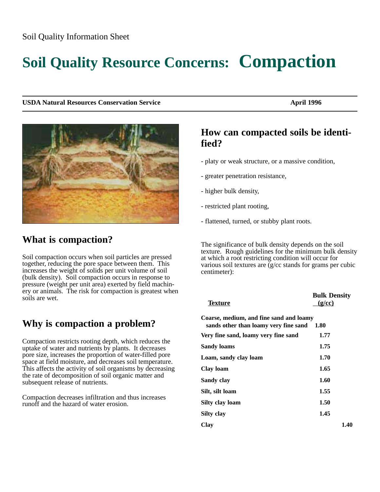#### Soil Quality Information Sheet

# **Soil Quality Resource Concerns: Compaction**

**USDA Natural Resources Conservation Service April 1996** April 1996



### **What is compaction?**

Soil compaction occurs when soil particles are pressed together, reducing the pore space between them. This increases the weight of solids per unit volume of soil (bulk density). Soil compaction occurs in response to pressure (weight per unit area) exerted by field machinery or animals. The risk for compaction is greatest when soils are wet.

# **Why is compaction a problem?**

Compaction restricts rooting depth, which reduces the uptake of water and nutrients by plants. It decreases pore size, increases the proportion of water-filled pore space at field moisture, and decreases soil temperature. This affects the activity of soil organisms by decreasing the rate of decomposition of soil organic matter and subsequent release of nutrients.

Compaction decreases infiltration and thus increases runoff and the hazard of water erosion.

### **How can compacted soils be identified?**

- platy or weak structure, or a massive condition,
- greater penetration resistance,
- higher bulk density,
- restricted plant rooting,
- flattened, turned, or stubby plant roots.

The significance of bulk density depends on the soil texture. Rough guidelines for the minimum bulk density at which a root restricting condition will occur for various soil textures are  $\bar{q}/c\bar{c}$  stands for grams per cubic centimeter):

| <b>Texture</b>                                                                   | <b>Bulk Density</b><br>(g/cc) |      |
|----------------------------------------------------------------------------------|-------------------------------|------|
| Coarse, medium, and fine sand and loamy<br>sands other than loamy very fine sand | 1.80                          |      |
| Very fine sand, loamy very fine sand                                             | 1.77                          |      |
| Sandy loams                                                                      | 1.75                          |      |
| Loam, sandy clay loam                                                            | 1.70                          |      |
| Clay loam                                                                        | 1.65                          |      |
| Sandy clay                                                                       | 1.60                          |      |
| Silt, silt loam                                                                  | 1.55                          |      |
| Silty clay loam                                                                  | 1.50                          |      |
| Silty clay                                                                       | 1.45                          |      |
| Clav                                                                             |                               | 1.40 |